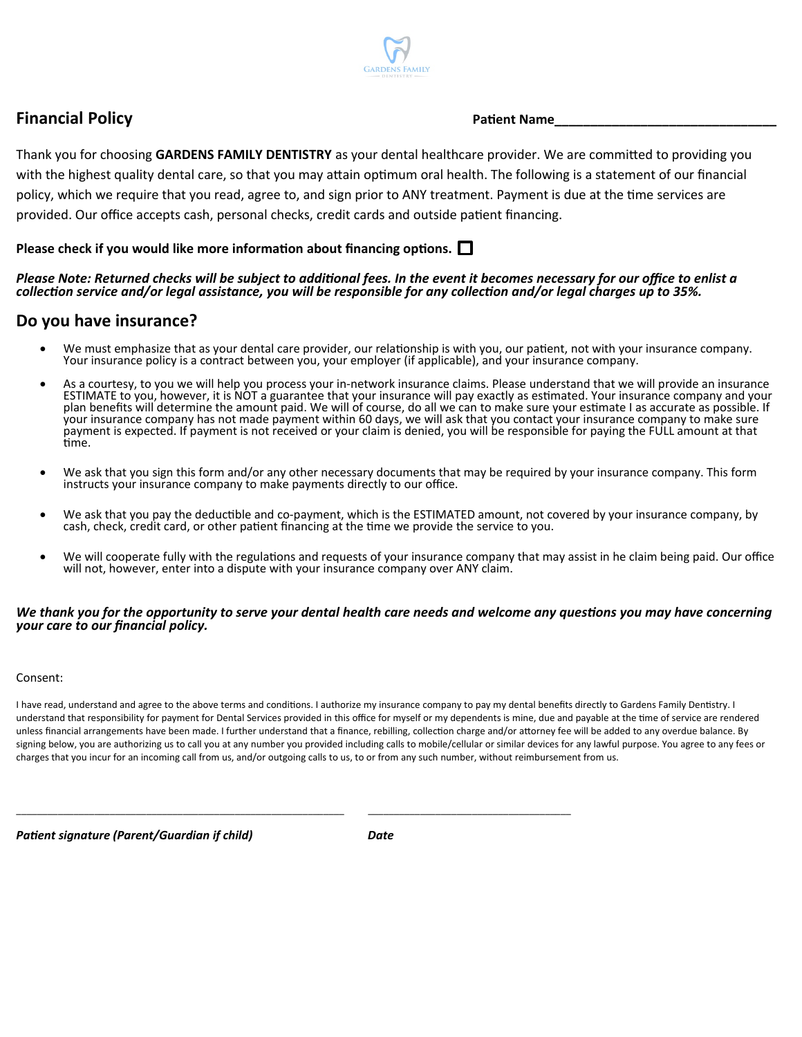

# **Financial Policy** *Patient Name*

Thank you for choosing **GARDENS FAMILY DENTISTRY** as your dental healthcare provider. We are committed to providing you with the highest quality dental care, so that you may attain optimum oral health. The following is a statement of our financial policy, which we require that you read, agree to, and sign prior to ANY treatment. Payment is due at the tme services are provided. Our office accepts cash, personal checks, credit cards and outside patient financing.

## **Please check if you would like more information about fnancing options.**

## *Please Note: Returned checks will be subject to additional fees. In the event it becomes necessary for our office to enlist a collection service and/or legal assistance, you will be responsible for any collection and/or legal charges up to 35%.*

## **Do you have insurance?**

- We must emphasize that as your dental care provider, our relationship is with you, our patient, not with your insurance company. Your insurance policy is a contract between you, your employer (if applicable), and your insurance company.
- As a courtesy, to you we will help you process your in-network insurance claims. Please understand that we will provide an insurance ESTIMATE to you, however, it is NOT a guarantee that your insurance will pay exactly as estmated. Your insurance company and your plan benefts will determine the amount paid. We will of course, do all we can to make sure your estmate I as accurate as possible. If your insurance company has not made payment within 60 days, we will ask that you contact your insurance company to make sure payment is expected. If payment is not received or your claim is denied, you will be responsible for paying the FULL amount at that time.
- We ask that you sign this form and/or any other necessary documents that may be required by your insurance company. This form instructs your insurance company to make payments directly to our office.
- We ask that you pay the deductible and co-payment, which is the ESTIMATED amount, not covered by your insurance company, by cash, check, credit card, or other patent fnancing at the tme we provide the service to you.
- We will cooperate fully with the regulations and requests of your insurance company that may assist in he claim being paid. Our office will not, however, enter into a dispute with your insurance company over ANY claim.

#### *We thank you for the opportunity to serve your dental health care needs and welcome any questons you may have concerning your care to our fnancial policy.*

### Consent:

I have read, understand and agree to the above terms and conditions. I authorize my insurance company to pay my dental benefits directly to Gardens Family Dentistry. I understand that responsibility for payment for Dental Services provided in this office for myself or my dependents is mine, due and payable at the time of service are rendered unless financial arrangements have been made. I further understand that a finance, rebilling, collection charge and/or attorney fee will be added to any overdue balance. By signing below, you are authorizing us to call you at any number you provided including calls to mobile/cellular or similar devices for any lawful purpose. You agree to any fees or charges that you incur for an incoming call from us, and/or outgoing calls to us, to or from any such number, without reimbursement from us.

Patient signature (Parent/Guardian if child) Date

\_\_\_\_\_\_\_\_\_\_\_\_\_\_\_\_\_\_\_\_\_\_\_\_\_\_\_\_\_\_\_\_\_\_\_\_\_\_\_\_\_\_\_\_\_\_\_\_\_\_\_\_\_\_\_\_\_\_\_\_\_\_\_ \_\_\_\_\_\_\_\_\_\_\_\_\_\_\_\_\_\_\_\_\_\_\_\_\_\_\_\_\_\_\_\_\_\_\_\_\_\_\_